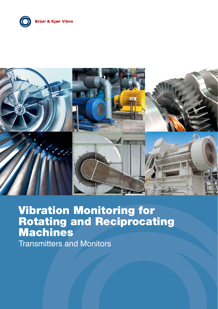



# **Vibration Monitoring for Rotating and Reciprocating Machines**

Transmitters and Monitors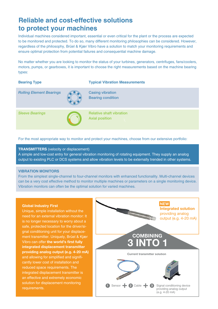# **Reliable and cost-effective solutions to protect your machines**

Individual machines considered important, essential or even critical for the plant or the process are expected to be monitored and protected. To do so, many different monitoring philosophies can be considered. However, regardless of the philosophy, Brüel & Kjær Vibro have a solution to match your monitoring requirements and ensure optimal protection from potential failures and consequential machine damage.

No matter whether you are looking to monitor the status of your turbines, generators, centrifuges, fans/coolers, motors, pumps, or gearboxes, it is important to choose the right measurements based on the machine bearing types:

| <b>Bearing Type</b>             | <b>Typical Vibration Measurements</b>                    |
|---------------------------------|----------------------------------------------------------|
| <b>Rolling Element Bearings</b> | <b>Casing vibration</b><br><b>Bearing condition</b>      |
| <b>Sleeve Bearings</b>          | <b>Relative shaft vibration</b><br><b>Axial position</b> |

For the most appropriate way to monitor and protect your machines, choose from our extensive portfolio:

#### **TRANSMITTERS** (velocity or displacement)

A simple and low-cost entry for general vibration monitoring of rotating equipment. They supply an analog output to existing PLC or DCS systems and allow vibration levels to be externally trended in other systems.

#### **VIBRATION MONITORS**

From the simplest single-channel to four-channel monitors with enhanced functionality. Multi-channel devices can be a very cost effective method to monitor multiple machines or parameters on a single monitoring device. Vibration monitors can often be the optimal solution for varied machines.

#### **Global Industry First**

Unique, simple installation without the need for an external vibration monitor: It is no longer necessary to worry about a safe, protected location for the driver/signal conditioning unit for your displacement transmitter. Uniquely, Brüel & Kjær Vibro can offer **the world's first fully integrated displacement transmitter providing analog output (e.g. 4-20 mA)**  and allowing for simplified and significantly lower cost of installation and reduced space requirements. The integrated displacement transmitter is an effective and extremely economic solution for displacement monitoring requirements.

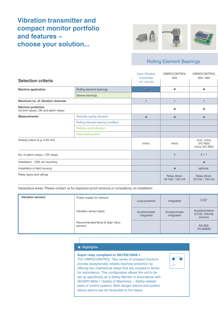# **Vibration transmitter and compact monitor portfolio and features − choose your solution...**



# Rolling Element Bearings

|                                                                    |                                   | <b>Case Vibration</b><br>Transmitter | VIBROCONTROL<br>850              | <b>VIBROCONTROL</b><br>950 / 960             |
|--------------------------------------------------------------------|-----------------------------------|--------------------------------------|----------------------------------|----------------------------------------------|
| <b>Selection criteria</b>                                          |                                   | VT-110/120                           |                                  |                                              |
| <b>Machine application</b>                                         | Rolling element bearings          | ۰                                    | ۰                                | ۰                                            |
|                                                                    | Sleeve bearings                   |                                      |                                  |                                              |
| Maximum no. of vibration channels                                  |                                   | $\mathbf{1}$                         | 1                                | 1                                            |
| <b>Machine protection</b><br>via limit values, OK and alarm relays |                                   |                                      |                                  |                                              |
| <b>Measurements</b>                                                | Absolute casing vibration         | 0                                    | $\bullet$                        | ۰                                            |
|                                                                    | Rolling element bearing condition |                                      |                                  |                                              |
|                                                                    | <b>Relative shaft vibration</b>   |                                      |                                  |                                              |
|                                                                    | Axial shaft position              |                                      |                                  |                                              |
| Analog output (e.g. 4-20 mA)                                       |                                   | mm/s                                 | mm/s                             | $m/s2$ ; mm/s<br>$(VC-950)$<br>mm/s (VC-960) |
| No. of alarm relays + OK relays                                    |                                   |                                      | $\overline{2}$                   | $2 + 1$                                      |
| Installation / DIN rail mounting                                   |                                   |                                      |                                  | $\bullet$                                    |
| Installation in field housing                                      |                                   |                                      |                                  | optional                                     |
| Relay types and ratings                                            |                                   |                                      | Relay driver,<br>30 Vdc / 100 mA | Relay driver,<br>30 Vdc / 100 mA             |

Hazardous areas: Please contact us for explosion-proof versions or consultancy on installation

| <b>Vibration sensors</b> | Power supply for sensors                  | Loop-powered                | Integrated                  | CCS <sup>*</sup>                             |
|--------------------------|-------------------------------------------|-----------------------------|-----------------------------|----------------------------------------------|
|                          | Vibration sensor types                    | Accelerometer<br>integrated | Accelerometer<br>integrated | Accelerometers<br>(CCS); Velocity<br>sensors |
|                          | Recommended Brüel & Kjær Vibro<br>sensors |                             |                             | AS-062:<br>VS-068/69                         |

#### **Highlights**

#### **Super relay compliant to ISO/EN13849-1**

The VIBROCONTROL 18xx series of compact monitors provide exceptionally reliable machine protection by offering two mechanical relays that are coupled in series for redundancy. This configuration allows the unit to be set up specifically as a Safety Monitor in accordance with ISO/EN13849-1 (Safety of Machinery – Safety-related parts of control system). Both danger alarms and system failure alarms can be forwarded to the relays.

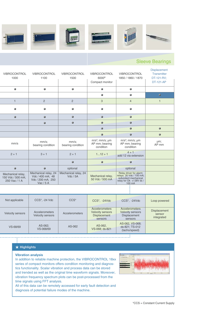

# Sleeve Bearings

| <b>VIBROCONTROL</b><br>1000                             | <b>VIBROCONTROL</b><br>1100                                                 | <b>VIBROCONTROL</b><br>1500      | <b>VIBROCONTROL</b><br>6000 <sup>®</sup><br>Compact monitor | VIBROCONTROL<br>1850 / 1860 / 1870                                                                              | <b>Displacement</b><br>Transmitter<br>DT-121-RV;<br><b>DT-121-AP</b> |
|---------------------------------------------------------|-----------------------------------------------------------------------------|----------------------------------|-------------------------------------------------------------|-----------------------------------------------------------------------------------------------------------------|----------------------------------------------------------------------|
|                                                         |                                                                             |                                  |                                                             | ۰                                                                                                               |                                                                      |
|                                                         |                                                                             |                                  | ۸                                                           |                                                                                                                 | ۰                                                                    |
| 1                                                       | $\overline{2}$                                                              | $\overline{2}$                   | 3                                                           | $\overline{4}$                                                                                                  | 1                                                                    |
|                                                         |                                                                             |                                  |                                                             |                                                                                                                 |                                                                      |
|                                                         |                                                                             |                                  |                                                             |                                                                                                                 |                                                                      |
|                                                         |                                                                             |                                  |                                                             |                                                                                                                 |                                                                      |
|                                                         |                                                                             |                                  |                                                             |                                                                                                                 |                                                                      |
|                                                         |                                                                             |                                  |                                                             |                                                                                                                 |                                                                      |
| mm/s                                                    | mm/s;<br>bearing condition                                                  | mm/s:<br>bearing condition       | $m/s2$ ; mm/s; µm<br>AP mm; bearing<br>condition            | $m/s2$ ; mm/s; µm<br>AP mm; bearing<br>condition                                                                | µm;<br>AP mm                                                         |
| $2 + 1$                                                 | $3 + 1$                                                                     | $2 + 1$                          | $112 + 1$                                                   | $4 + 1$<br>add 12 via extension                                                                                 |                                                                      |
|                                                         |                                                                             |                                  |                                                             |                                                                                                                 |                                                                      |
|                                                         |                                                                             | optional                         |                                                             | optional                                                                                                        |                                                                      |
| Mechanical relay,<br>150 Vdc / 500 mA;<br>250 Vac / 1 A | Mechanical relay, 24<br>Vdc / 400 mA; 48<br>Vdc / 200 mA; 250<br>Vac $/5$ A | Mechanical relay, 24<br>Vdc / 5A | Mechanical relay,<br>50 Vdc / 500 mA                        | Relay driver for alarm<br>relays 30 Vdc / 100 mA;<br>redundant mechanical<br>relay for Ok +/-28V dc /<br>100 mA |                                                                      |
|                                                         |                                                                             |                                  |                                                             |                                                                                                                 |                                                                      |

| Not applicable          | CCS*, -24 Vdc                                    | $CCS*$                | CCS*, -24Vdc                                                                | CCS*, -24Vdc                                                                       | Loop powered                                |
|-------------------------|--------------------------------------------------|-----------------------|-----------------------------------------------------------------------------|------------------------------------------------------------------------------------|---------------------------------------------|
| <b>Velocity sensors</b> | <b>Accelerometers</b><br><b>Velocity sensors</b> | <b>Accelerometers</b> | Accelerometers<br><b>Velocity sensors</b><br><b>Displacement</b><br>sensors | <b>Accelerometers</b><br><b>Velocity sensors</b><br><b>Displacement</b><br>sensors | <b>Displacement</b><br>sensor<br>integrated |
| VS-68/69                | AS-062:<br>VS-068/69                             | AS-062                | AS-062,<br>VS-068; ds-821                                                   | AS-062, VS-068;<br>ds-821; TS-012<br>(tacho/speed)                                 |                                             |

. J

#### **Highlights**

#### **Vibration analysis**

In addition to reliable machine protection, the VIBROCONTROL 18xx series of compact monitors offers condition monitoring and diagnostics functionality. Scalar vibration and process data can be stored and trended as well as the original time waveform signals. Moreover, vibration frequency spectrum plots can be post-processed from the time signals using FFT analysis.



All of this data can be remotely accessed for early fault detection and diagnosis of potential failure modes of the machine.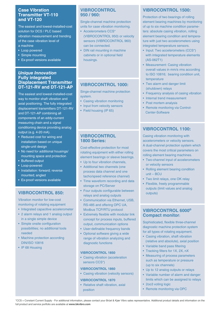## **Case Vibration Transmitter VT-110 and VT-120**

The easiest and lowest-installed-cost solution for DCS / PLC based vibration measurement and trending of the case vibration level of a machine

- Loop powered
- Simple mounting
- Ex-proof versions available

#### *Unique Innovation* **Fully integrated Displacement Transmitter DT-121-RV and DT-121-AP**

The easiest and lowest-installed-cost way to monitor shaft vibration and axial positioning. The fully integrated displacement transmitters DT-121-RV and DT-121-AP combining all components of an eddy-current measuring chain and a signal conditioning device providing analog output (e.g. 4-20 mA).

- Reduced cost for wiring and installation based on unique single-unit design
- No need for additional housings/ mounting space and protection
- Buffered output
- Loop-powered
- Installation: forward; reverse mounted; angled
- Ex-proof versions available

# **VIBROCONTROL 850:**

Vibration monitor for low-cost monitoring of rotating equipment

- Integrated capacitive accelerometer
- 2 alarm relays and 1 analog output in a single simple device
- Simple onsite configuration possibilities; no additional tools needed
- Machine protection according DIN/ISO 10816
- IP 68 Housing

# **VIBROCONTROL 950 / 960:**

Single-channel machine protection units for case vibration monitoring.

- Accelerometers CCS\* (VIBROCONTROL 950) or velocity sensors (VIBROCONTROL 960) can be connected.
- DIN rail mounting in machine cabinets or in optional field housings.

# **VIBROCONTROL 1000:**

Singe-channel machine protection system.

- Casing vibration monitoring
- Input from velocity sensors
- Field housing (IP 65)

#### **VIBROCONTROL 1800 Series:**

Cost-effective protection for most rotating equipment with either rolling element bearings or sleeve bearings.

- Up to four vibration channels,
- Additional two channels (one process data channel and one tacho/speed reference channel)
- Time waveform recording and data storage on PC/Server
- Four outputs configurable between relays and analog outputs
- Communication via Ethernet, USB, RS-485 and offering OPC UA, Modbus TCP/RTU protocol
- Extremely flexible with modular link concept for process inputs, buffered output, communication options
- User-definable frequency bands
- Optional software giving a wide range of vibration analyzing and diagnostic functions

#### **VIBROCONTROL 1850**

• Casing vibration (acceleration sensors CCS\*)

#### **VIBROCONTROL 1860**

• Casing vibration (velocity sensors)

#### **VIBROCONTROL 1870**

• Relative shaft vibration, axial position

# **VIBROCONTROL 1500:**

Protection of two bearings of rolling element bearing machines by monitoring of up to six machine condition parameters: absolute casing vibration, rolling element bearing condition and temperature with just two accelerometers using integrated temperature sensors.

- Input: Two accelerometers (CCS\*) with integrated temperature elements (AS-062T1)
- Measurement: Casing vibration overall values in mm/s rms according to ISO 10816; bearing condition unit, temperature
- Two alarm and danger limit (shutdown) relays
- Frequency analysis of casing vibration
- Internal trend measurement
- Post mortem analysis
- Remote monitoring via Control- Center-Software

# **VIBROCONTROL 1100:**

Casing vibration monitoring with accelerometers or velocity sensors. A dual-channel protection system which covers the most critical parameters on rolling element bearing machines.

- Two-channel input of accelerometers or velocity sensors
- Rolling element bearing condition unit – BCU
- Two limit relays, one OK relay
- Flexible, freely programmable outputs (limit values and analog outputs)

## **VIBROCONTROL 6000® Compact monitor:**

Sophisticated, flexible three-channel diagnostic machine protection system for all types of rotating equipment.

- Casing vibration, shaft vibration (relative and absolute), axial position
- Variable band pass filtering
- Tracking filters for 1X, 2X, nX
- Measuring of process parameters such as temperature or pressure (up to six channels)
- Up to 12 analog outputs or relays
- Variable number of alarm and danger limits which can be assigned to relays
- 2003 voting logic
- Remote monitoring via OPC

\*CCS = Constant Current Supply - For additional information, please contact your Brüel & Kjær Vibro sales representative. Additional product details and information on the full product and service portfolio are available at **www.bkvibro.com**